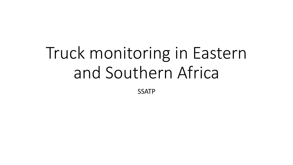# Truck monitoring in Eastern and Southern Africa

SSATP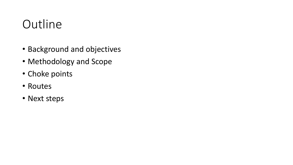### **Outline**

- Background and objectives
- Methodology and Scope
- Choke points
- Routes
- Next steps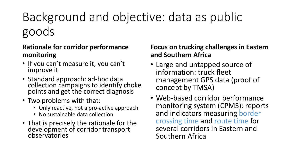### Background and objective: data as public goods

#### **Rationale for corridor performance monitoring**

- If you can't measure it, you can't improve it
- Standard approach: ad-hoc data collection campaigns to identify choke points and get the correct diagnosis
- Two problems with that:
	- Only reactive, not a pro-active approach
	- No sustainable data collection
- That is precisely the rationale for the development of corridor transport observatories

#### **Focus on trucking challenges in Eastern and Southern Africa**

- Large and untapped source of information: truck fleet management GPS data (proof of concept by TMSA)
- Web-based corridor performance monitoring system (CPMS): reports and indicators measuring border crossing time and route time for several corridors in Eastern and Southern Africa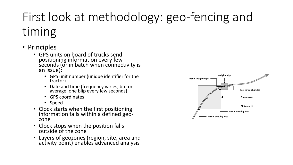## First look at methodology: geo-fencing and timing

- Principles
	- GPS units on board of trucks send positioning information every few seconds (or in batch when connectivity is an issue):
		- GPS unit number (unique identifier for the tractor)
		- Date and time (frequency varies, but on average, one blip every féw seconds)
		- GPS coordinates
		- Speed
	- Clock starts when the first positioning information falls within a defined geozone
	- Clock stops when the position falls outside of the zone
	- Layers of geozones (region, site, area and activity point) enables advanced analysis

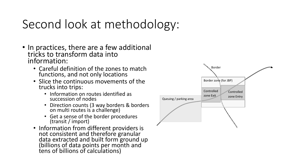### Second look at methodology:

- In practices, there are a few additional tricks to transform data into information:
	- Careful definition of the zones to match functions, and not only locations
	- Slice the continuous movements of the trucks into trips:
		- Information on routes identified as succession of nodes
		- Direction counts (3 way borders & borders on multi routes is a challenge)
		- Get a sense of the border procedures (transit / import)
	- Information from different providers is not consistent and therefore granular data extracted and built form ground up (billions of data points per month and tens of billions of calculations)

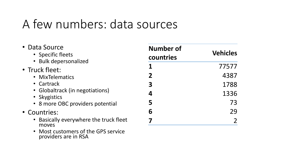### A few numbers: data sources

• Most customers of the GPS service

providers are in RSA

| • Data Source<br>• Specific fleets<br>• Bulk depersonalized | <b>Number of</b><br>countries | <b>Vehicles</b> |  |
|-------------------------------------------------------------|-------------------------------|-----------------|--|
| • Truck fleet:                                              |                               | 77577           |  |
| • MixTelematics                                             | 2                             | 4387            |  |
| • Cartrack                                                  | 3                             | 1788            |  |
| • Globaltrack (in negotiations)<br>• Skygistics             | 4                             | 1336            |  |
| • 8 more OBC providers potential                            | 5                             | 73              |  |
| • Countries:                                                | 6                             | 29              |  |
| • Basically everywhere the truck fleet<br>moves             |                               |                 |  |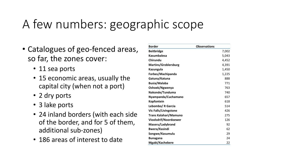### A few numbers: geographic scope

- Catalogues of geo-fenced areas, so far, the zones cover:
	- 11 sea ports
	- 15 economic areas, usually the capital city (when not a port)
	- 2 dry ports
	- 3 lake ports
	- 24 inland borders (with each side of the border, and for 5 of them, additional sub-zones)
	- 186 areas of interest to date

| <b>Border</b>                | <b>Observations</b> |
|------------------------------|---------------------|
| <b>Beitbridge</b>            | 7,002               |
| <b>Kasumbalesa</b>           | 5,043               |
| Chirundu                     | 4,452               |
| <b>Martins/Groblersburg</b>  | 4,391               |
| Kazungula                    | 1,450               |
| Forbes/Machipanda            | 1,225               |
| Gatuna/Katuna                | 888                 |
| <b>Busia/Malaba</b>          | 771                 |
| Oshoek/Ngwenya               | 763                 |
| Nakonde/Tunduma              | 740                 |
| Nyampanda/Cuchamano          | 657                 |
| <b>Kopfontein</b>            | 618                 |
| Lebombo/ R Garcia            | 514                 |
| <b>Vic Falls/Livingstone</b> | 426                 |
| Trans Kalahari/Mamuno        | 275                 |
| Vioolsdrif/Noordoewer        | 126                 |
| Maseru/Ladybrand             | 92                  |
| <b>Bwera/Kasindi</b>         | 62                  |
| Songwe/Kasumulu              | 29                  |
| <b>Bunagana</b>              | 24                  |
| Mgabi/Kachebere              | 22                  |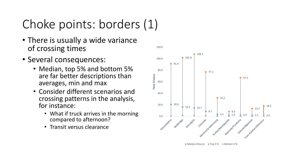### Choke points: borders (1)

- There is usually a wide variance of crossing times
- Several consequences:
	- Median, top 5% and bottom 5% are far better descriptions than averages, min and max
	- Consider different scenarios and crossing patterns in the analysis, for instance:
		- What if truck arrives in the morning compared to afternoon?
		- Transit versus clearance



120.0

● Median (Hours) ● Top 5 % ● Bottom 5 %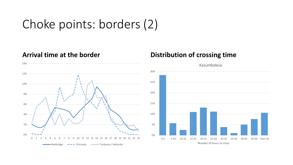### Choke points: borders (2)



#### **Arrival time at the border Distribution of crossing time**

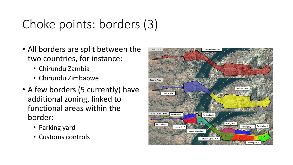### Choke points: borders (3)

- All borders are split between the two countries, for instance:
	- Chirundu Zambia
	- Chirundu Zimbabwe
- A few borders (5 currently) have additional zoning, linked to functional areas within the border:
	- Parking yard
	- Customs controls

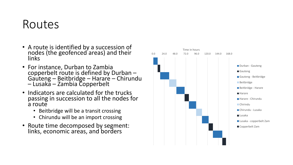#### Routes

- A route is identified by a succession of nodes (the geofenced areas) and their links
- For instance, Durban to Zambia copperbelt route is defined by Durban -Gauteng – Beitbridge – Harare – Chirundu – Lusaka – Zambia Copperbelt
- Indicators are calculated for the trucks passing in succession to all the nodes for a route
	- Beitbridge will be a transit crossing
	- Chirundu will be an import crossing
- Route time decomposed by segment: links, economic areas, and borders

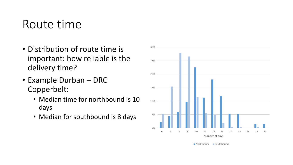#### Route time

- Distribution of route time is important: how reliable is the delivery time?
- Example Durban DRC Copperbelt:
	- Median time for northbound is 10 days
	- Median for southbound is 8 days



Northbound Southbound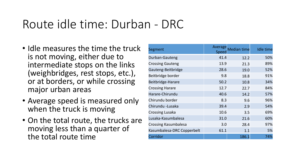#### Route idle time: Durban - DRC

- Idle measures the time the truck is not moving, either due to intermediate stops on the links (weighbridges, rest stops, etc.), or at borders, or while crossing major urban areas
- Average speed is measured only when the truck is moving
- On the total route, the trucks are moving less than a quarter of the total route time

| Segment                     | Average<br><b>Speed</b> | <b>Median time</b> | <b>Idle time</b> |
|-----------------------------|-------------------------|--------------------|------------------|
| Durban-Gauteng              | 41.4                    | 12.2               | 50%              |
| <b>Crossing Gauteng</b>     | 13.9                    | 21.3               | 89%              |
| Gauteng-Beitbridge          | 28.6                    | 19.0               | 52%              |
| Beitbridge border           | 9.8                     | 18.8               | 91%              |
| Beitbridge-Harare           | 50.2                    | 10.8               | 34%              |
| <b>Crossing Harare</b>      | 12.7                    | 22.7               | 84%              |
| Harare-Chirundu             | 40.6                    | 14.2               | 57%              |
| Chirundu border             | 8.3                     | 9.6                | 96%              |
| Chirundu - Lusaka           | 39.4                    | 2.9                | 54%              |
| <b>Crossing Lusaka</b>      | 10.6                    | 3.5                | 69%              |
| Lusaka-Kasumbalesa          | 31.0                    | 21.6               | 60%              |
| <b>Crossing Kasumbalesa</b> | 3.0                     | 28.4               | 97%              |
| Kasumbalesa-DRC Copperbelt  | 61.1                    | 1.1                | 5%               |
| Corridor                    |                         | 186.1              | 74%              |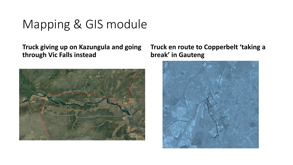#### Mapping & GIS module

**Truck giving up on Kazungula and going through Vic Falls instead**



**Truck en route to Copperbelt 'taking a break' in Gauteng**

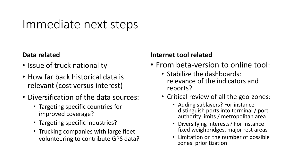#### Immediate next steps

#### **Data related**

- Issue of truck nationality
- How far back historical data is relevant (cost versus interest)
- Diversification of the data sources:
	- Targeting specific countries for improved coverage?
	- Targeting specific industries?
	- Trucking companies with large fleet volunteering to contribute GPS data?

#### **Internet tool related**

- From beta-version to online tool:
	- Stabilize the dashboards: relevance of the indicators and reports?
	- Critical review of all the geo-zones:
		- Adding sublayers? For instance distinguish ports into terminal / port authority limits / metropolitan area
		- Diversifying interests? For instance fixed weighbridges, major rest areas
		- Limitation on the number of possible zones: prioritization